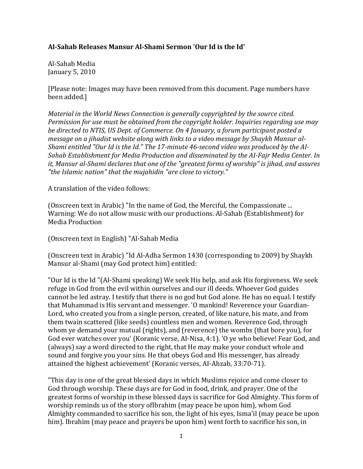## **Al-Sahab Releases Mansur Al-Shami Sermon 'Our Id is the Id'**

Al-Sahab Media January 5, 2010

[Please note: Images may have been removed from this document. Page numbers have been added.]

*Material in the World News Connection is generally copyrighted by the source cited. Permission for use must be obtained from the copyright holder. Inquiries regarding use may be directed to NTIS, US Dept. of Commerce. On 4 January, a forum participant posted a message on a jihadist website along with links to a video message by Shaykh Mansur al-Shami entitled "Our Id is the Id." The 17-minute 46-second video was produced by the AI-Sahab Establishment for Media Production and disseminated by the AI-Fajr Media Center. In it, Mansur al-Shami declares that one of the "greatest forms of worship" is jihad, and assures "the Islamic nation" that the mujahidin "are close to victory."*

A translation of the video follows:

(Onscreen text in Arabic) "In the name of God, the Merciful, the Compassionate ... Warning: We do not allow music with our productions. Al-Sahab (Establishment) for Media Production

(Onscreen text in English) "Al-Sahab Media

(Onscreen text in Arabic) "Id Al-Adha Sermon 1430 (corresponding to 2009) by Shaykh Mansur al-Shami (may God protect him) entitled:

"Our Id is the Id "(AI-Shami speaking) We seek His help, and ask His forgiveness. We seek refuge in God from the evil within ourselves and our ill deeds. Whoever God guides cannot be led astray. I testify that there is no god but God alone. He has no equal. I testify that Muhammad is His servant and messenger. 'O mankind! Reverence your Guardian-Lord, who created you from a single person, created, of like nature, his mate, and from them twain scattered (like seeds) countless men and women. Reverence God, through whom ye demand your mutual (rights), and (reverence) the wombs (that bore you), for God ever watches over you' (Koranic verse, AI-Nisa, 4:1). 'O ye who believe! Fear God, and (always) say a word directed to the right, that He may make your conduct whole and sound and forgive you your sins. He that obeys God and His messenger, has already attained the highest achievement' (Koranic verses, AI-Ahzab, 33:70-71).

"This day is one of the great blessed days in which Muslims rejoice and come closer to God through worship. These days are for God in food, drink, and prayer. One of the greatest forms of worship in these blessed days is sacrifice for God Almighty. This form of worship reminds us of the story ofIbrahim (may peace be upon him), whom God Almighty commanded to sacrifice his son, the light of his eyes, Isma'il (may peace be upon him). Ibrahim (may peace and prayers be upon him) went forth to sacrifice his son, in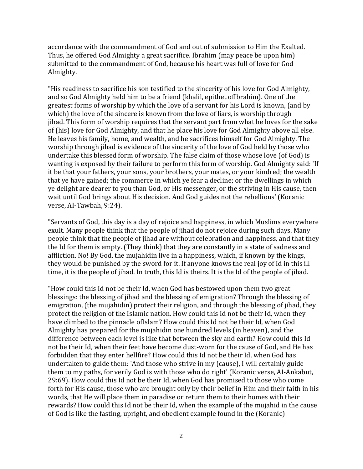accordance with the commandment of God and out of submission to Him the Exalted. Thus, he offered God Almighty a great sacrifice. Ibrahim (may peace be upon him) submitted to the commandment of God, because his heart was full of love for God Almighty.

"His readiness to sacrifice his son testified to the sincerity of his love for God Almighty, and so God Almighty held him to be a friend (khalil, epithet ofIbrahim). One of the greatest forms of worship by which the love of a servant for his Lord is known, (and by which) the love of the sincere is known from the love of liars, is worship through jihad. This form of worship requires that the servant part from what he loves for the sake of (his) love for God Almighty, and that he place his love for God Almighty above all else. He leaves his family, home, and wealth, and he sacrifices himself for God Almighty. The worship through jihad is evidence of the sincerity of the love of God held by those who undertake this blessed form of worship. The false claim of those whose love (of God) is wanting is exposed by their failure to perform this form of worship. God Almighty said: 'If it be that your fathers, your sons, your brothers, your mates, or your kindred; the wealth that ye have gained; the commerce in which ye fear a decline; or the dwellings in which ye delight are dearer to you than God, or His messenger, or the striving in His cause, then wait until God brings about His decision. And God guides not the rebellious' (Koranic verse, AI-Tawbah, 9:24).

"Servants of God, this day is a day of rejoice and happiness, in which Muslims everywhere exult. Many people think that the people of jihad do not rejoice during such days. Many people think that the people of jihad are without celebration and happiness, and that they the Id for them is empty. (They think) that they are constantly in a state of sadness and affliction. No! By God, the mujahidin live in a happiness, which, if known by the kings, they would be punished by the sword for it. If anyone knows the real joy of Id in this ill time, it is the people of jihad. In truth, this Id is theirs. It is the Id of the people of jihad.

"How could this Id not be their Id, when God has bestowed upon them two great blessings: the blessing of jihad and the blessing of emigration? Through the blessing of emigration, (the mujahidin) protect their religion, and through the blessing of jihad, they protect the religion of the Islamic nation. How could this Id not be their Id, when they have climbed to the pinnacle ofIslam? How could this Id not be their Id, when God Almighty has prepared for the mujahidin one hundred levels (in heaven), and the difference between each level is like that between the sky and earth? How could this Id not be their Id, when their feet have become dust-worn for the cause of God, and He has forbidden that they enter hellfire? How could this Id not be their Id, when God has undertaken to guide them: 'And those who strive in my (cause), I will certainly guide them to my paths, for verily God is with those who do right' (Koranic verse, AI-Ankabut, 29:69). How could this Id not be their Id, when God has promised to those who come forth for His cause, those who are brought only by their belief in Him and their faith in his words, that He will place them in paradise or return them to their homes with their rewards? How could this Id not be their Id, when the example of the mujahid in the cause of God is like the fasting, upright, and obedient example found in the (Koranic)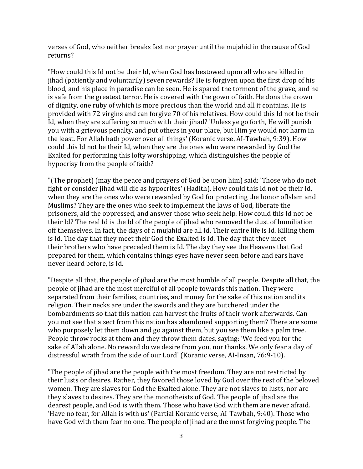verses of God, who neither breaks fast nor prayer until the mujahid in the cause of God returns?

"How could this Id not be their Id, when God has bestowed upon all who are killed in jihad (patiently and voluntarily) seven rewards? He is forgiven upon the first drop of his blood, and his place in paradise can be seen. He is spared the torment of the grave, and he is safe from the greatest terror. He is covered with the gown of faith. He dons the crown of dignity, one ruby of which is more precious than the world and all it contains. He is provided with 72 virgins and can forgive 70 of his relatives. How could this Id not be their Id, when they are suffering so much with their jihad? 'Unless ye go forth, He will punish you with a grievous penalty, and put others in your place, but Him ye would not harm in the least. For Allah hath power over all things' (Koranic verse, AI-Tawbah, 9:39). How could this Id not be their Id, when they are the ones who were rewarded by God the Exalted for performing this lofty worshipping, which distinguishes the people of hypocrisy from the people of faith?

"(The prophet) (may the peace and prayers of God be upon him) said: 'Those who do not fight or consider jihad will die as hypocrites' (Hadith). How could this Id not be their Id, when they are the ones who were rewarded by God for protecting the honor ofIslam and Muslims? They are the ones who seek to implement the laws of God, liberate the prisoners, aid the oppressed, and answer those who seek help. How could this Id not be their Id? The real Id is the Id of the people of jihad who removed the dust of humiliation off themselves. In fact, the days of a mujahid are all Id. Their entire life is Id. Killing them is Id. The day that they meet their God the Exalted is Id. The day that they meet their brothers who have preceded them is Id. The day they see the Heavens that God prepared for them, which contains things eyes have never seen before and ears have never heard before, is Id.

"Despite all that, the people of jihad are the most humble of all people. Despite all that, the people of jihad are the most merciful of all people towards this nation. They were separated from their families, countries, and money for the sake of this nation and its religion. Their necks are under the swords and they are butchered under the bombardments so that this nation can harvest the fruits of their work afterwards. Can you not see that a sect from this nation has abandoned supporting them? There are some who purposely let them down and go against them, but you see them like a palm tree. People throw rocks at them and they throw them dates, saying: 'We feed you for the sake of Allah alone. No reward do we desire from you, nor thanks. We only fear a day of distressful wrath from the side of our Lord' (Koranic verse, AI-Insan, 76:9-10).

"The people of jihad are the people with the most freedom. They are not restricted by their lusts or desires. Rather, they favored those loved by God over the rest of the beloved women. They are slaves for God the Exalted alone. They are not slaves to lusts, nor are they slaves to desires. They are the monotheists of God. The people of jihad are the dearest people, and God is with them. Those who have God with them are never afraid. 'Have no fear, for Allah is with us' (Partial Koranic verse, AI-Tawbah, 9:40). Those who have God with them fear no one. The people of jihad are the most forgiving people. The